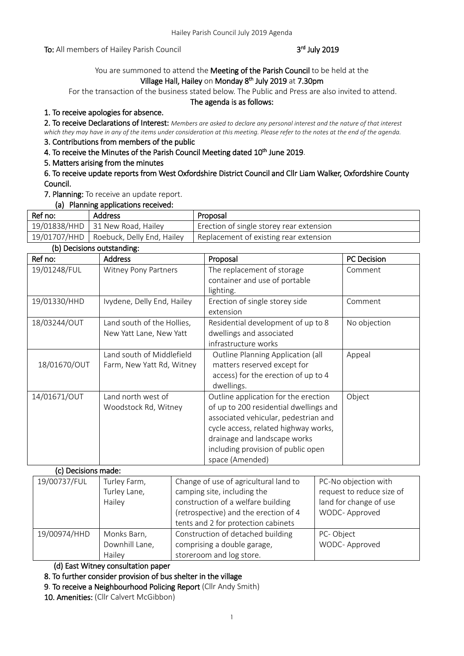To: All members of Hailey Parish Council

# <sup>rd</sup> July 2019

# You are summoned to attend the Meeting of the Parish Council to be held at the Village Hall, Hailey on Monday 8<sup>th</sup> July 2019 at 7.30pm

For the transaction of the business stated below. The Public and Press are also invited to attend.

### The agenda is as follows:

# 1. To receive apologies for absence.

2. To receive Declarations of Interest: *Members are asked to declare any personal interest and the nature of that interest which they may have in any of the items under consideration at this meeting. Please refer to the notes at the end of the agenda.*

## 3. Contributions from members of the public

## 4. To receive the Minutes of the Parish Council Meeting dated 10<sup>th</sup> June 2019.

## 5. Matters arising from the minutes

## 6. To receive update reports from West Oxfordshire District Council and Cllr Liam Walker, Oxfordshire County Council.

#### 7. Planning: To receive an update report.  $(4)$  Planning applications received:

| (a) Planning applications received: |                                           |                                          |
|-------------------------------------|-------------------------------------------|------------------------------------------|
| Ref no:                             | <b>Address</b>                            | Proposal                                 |
|                                     | 19/01838/HHD 31 New Road, Hailey          | Erection of single storey rear extension |
|                                     | 19/01707/HHD   Roebuck, Delly End, Hailey | Replacement of existing rear extension   |
| <u>/k) Daajajama autotamalinni</u>  |                                           |                                          |

| (D) Decisions outstanding. |                                                        |                                                                                                                                                                                                                                                         |              |
|----------------------------|--------------------------------------------------------|---------------------------------------------------------------------------------------------------------------------------------------------------------------------------------------------------------------------------------------------------------|--------------|
| Ref no:                    | <b>Address</b>                                         | Proposal                                                                                                                                                                                                                                                | PC Decision  |
| 19/01248/FUL               | <b>Witney Pony Partners</b>                            | The replacement of storage<br>container and use of portable<br>lighting.                                                                                                                                                                                | Comment      |
| 19/01330/HHD               | Ivydene, Delly End, Hailey                             | Erection of single storey side<br>extension                                                                                                                                                                                                             | Comment      |
| 18/03244/OUT               | Land south of the Hollies,<br>New Yatt Lane, New Yatt  | Residential development of up to 8<br>dwellings and associated<br>infrastructure works                                                                                                                                                                  | No objection |
| 18/01670/OUT               | Land south of Middlefield<br>Farm, New Yatt Rd, Witney | Outline Planning Application (all<br>matters reserved except for<br>access) for the erection of up to 4<br>dwellings.                                                                                                                                   | Appeal       |
| 14/01671/OUT               | Land north west of<br>Woodstock Rd, Witney             | Outline application for the erection<br>of up to 200 residential dwellings and<br>associated vehicular, pedestrian and<br>cycle access, related highway works,<br>drainage and landscape works<br>including provision of public open<br>space (Amended) | Object       |

#### (c) Decisions made:

| 19/00737/FUL | Turley Farm,<br>Turley Lane,<br>Hailey  | Change of use of agricultural land to<br>camping site, including the<br>construction of a welfare building<br>(retrospective) and the erection of 4<br>tents and 2 for protection cabinets | PC-No objection with<br>request to reduce size of<br>land for change of use<br>WODC- Approved |
|--------------|-----------------------------------------|--------------------------------------------------------------------------------------------------------------------------------------------------------------------------------------------|-----------------------------------------------------------------------------------------------|
| 19/00974/HHD | Monks Barn,<br>Downhill Lane,<br>Hailey | Construction of detached building<br>comprising a double garage,<br>storeroom and log store.                                                                                               | PC-Object<br>WODC- Approved                                                                   |

(d) East Witney consultation paper

8. To further consider provision of bus shelter in the village

- 9. To receive a Neighbourhood Policing Report (Cllr Andy Smith)
- 10. Amenities: (Cllr Calvert McGibbon)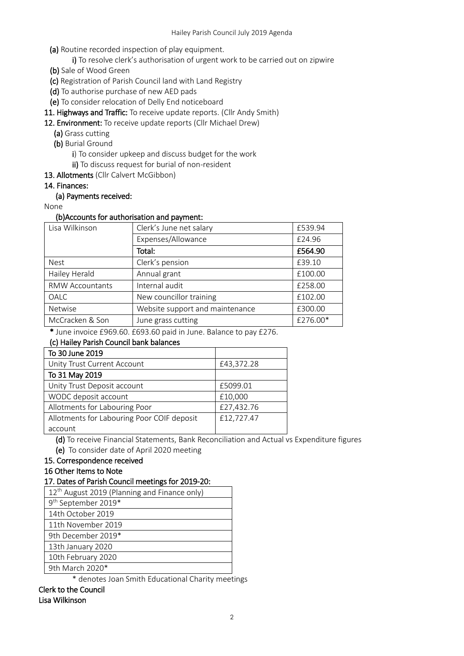- (a) Routine recorded inspection of play equipment.
	- i) To resolve clerk's authorisation of urgent work to be carried out on zipwire
- (b) Sale of Wood Green
- (c) Registration of Parish Council land with Land Registry
- (d) To authorise purchase of new AED pads
- (e) To consider relocation of Delly End noticeboard
- 11. Highways and Traffic: To receive update reports. (Cllr Andy Smith)
- 12. Environment: To receive update reports (Cllr Michael Drew)
	- (a) Grass cutting
	- (b) Burial Ground
		- i) To consider upkeep and discuss budget for the work
		- ii) To discuss request for burial of non-resident
- 13. Allotments (Cllr Calvert McGibbon)

# 14. Finances:

## (a) Payments received:

None

### (b)Accounts for authorisation and payment:

| Lisa Wilkinson  | Clerk's June net salary         | £539.94  |
|-----------------|---------------------------------|----------|
|                 | Expenses/Allowance              | £24.96   |
|                 | Total:                          | £564.90  |
| <b>Nest</b>     | Clerk's pension                 | £39.10   |
| Hailey Herald   | Annual grant                    | £100.00  |
| RMW Accountants | Internal audit                  | £258.00  |
| OALC            | New councillor training         | £102.00  |
| Netwise         | Website support and maintenance | £300.00  |
| McCracken & Son | June grass cutting              | £276.00* |

\* June invoice £969.60. £693.60 paid in June. Balance to pay £276.

## (c) Hailey Parish Council bank balances

| To 30 June 2019                            |            |
|--------------------------------------------|------------|
| Unity Trust Current Account                | £43,372.28 |
| To 31 May 2019                             |            |
| Unity Trust Deposit account                | £5099.01   |
| WODC deposit account                       | £10,000    |
| Allotments for Labouring Poor              | £27,432.76 |
| Allotments for Labouring Poor COIF deposit | £12,727.47 |
| account                                    |            |

(d) To receive Financial Statements, Bank Reconciliation and Actual vs Expenditure figures

(e) To consider date of April 2020 meeting

## 15. Correspondence received

## 16 Other Items to Note

# 17. Dates of Parish Council meetings for 2019-20:

| 12 <sup>th</sup> August 2019 (Planning and Finance only) |
|----------------------------------------------------------|
| 9 <sup>th</sup> September 2019*                          |
| 14th October 2019                                        |
| 11th November 2019                                       |
| 9th December 2019*                                       |
| 13th January 2020                                        |
| 10th February 2020                                       |
| 9th March 2020*                                          |

\* denotes Joan Smith Educational Charity meetings

Clerk to the Council Lisa Wilkinson